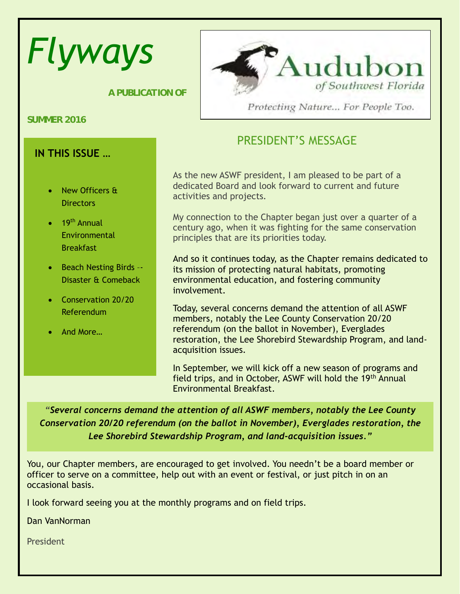# *Flyways*

 *A PUBLICATION OF*

**SUMMER 2016**

### **IN THIS ISSUE …**

- New Officers & **Directors**
- $\bullet$  19<sup>th</sup> Annual Environmental **Breakfast**
- Beach Nesting Birds --Disaster & Comeback
- Conservation 20/20 Referendum
- And More…



Protecting Nature... For People Too.

## PRESIDENT'S MESSAGE

As the new ASWF president, I am pleased to be part of a dedicated Board and look forward to current and future activities and projects.

My connection to the Chapter began just over a quarter of a century ago, when it was fighting for the same conservation principles that are its priorities today.

And so it continues today, as the Chapter remains dedicated to its mission of protecting natural habitats, promoting environmental education, and fostering community involvement.

Today, several concerns demand the attention of all ASWF members, notably the Lee County Conservation 20/20 referendum (on the ballot in November), Everglades restoration, the Lee Shorebird Stewardship Program, and landacquisition issues.

In September, we will kick off a new season of programs and field trips, and in October, ASWF will hold the 19th Annual Environmental Breakfast.

*"Several concerns demand the attention of all ASWF members, notably the Lee County Conservation 20/20 referendum (on the ballot in November), Everglades restoration, the Lee Shorebird Stewardship Program, and land-acquisition issues."*

You, our Chapter members, are encouraged to get involved. You needn't be a board member or officer to serve on a committee, help out with an event or festival, or just pitch in on an occasional basis.

I look forward seeing you at the monthly programs and on field trips.

Dan VanNorman

President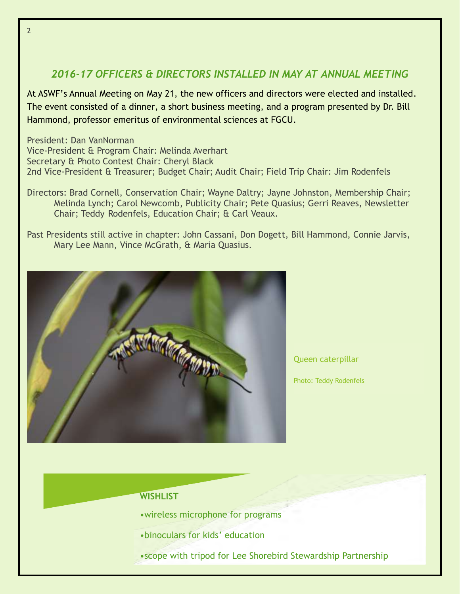#### *2016-17 OFFICERS & DIRECTORS INSTALLED IN MAY AT ANNUAL MEETING*

At ASWF's Annual Meeting on May 21, the new officers and directors were elected and installed. The event consisted of a dinner, a short business meeting, and a program presented by Dr. Bill Hammond, professor emeritus of environmental sciences at FGCU.

President: Dan VanNorman Vice-President & Program Chair: Melinda Averhart Secretary & Photo Contest Chair: Cheryl Black 2nd Vice-President & Treasurer; Budget Chair; Audit Chair; Field Trip Chair: Jim Rodenfels

Directors: Brad Cornell, Conservation Chair; Wayne Daltry; Jayne Johnston, Membership Chair; Melinda Lynch; Carol Newcomb, Publicity Chair; Pete Quasius; Gerri Reaves, Newsletter Chair; Teddy Rodenfels, Education Chair; & Carl Veaux.

Past Presidents still active in chapter: John Cassani, Don Dogett, Bill Hammond, Connie Jarvis, Mary Lee Mann, Vince McGrath, & Maria Quasius.



Queen caterpillar

Photo: Teddy Rodenfels

#### **WISHLIST**

- •wireless microphone for programs
- •binoculars for kids' education
- •scope with tripod for Lee Shorebird Stewardship Partnership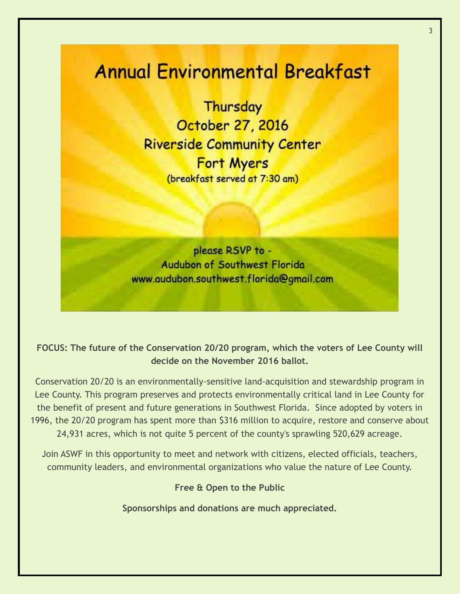# **Annual Environmental Breakfast**

Thursday October 27, 2016 **Riverside Community Center Fort Myers** (breakfast served at 7:30 am)

please RSVP to -**Audubon of Southwest Florida** www.audubon.southwest.florida@gmail.com

#### **FOCUS: The future of the Conservation 20/20 program, which the voters of Lee County will decide on the November 2016 ballot.**

Conservation 20/20 is an environmentally-sensitive land-acquisition and stewardship program in Lee County. This program preserves and protects environmentally critical land in Lee County for the benefit of present and future generations in Southwest Florida. Since adopted by voters in 1996, the 20/20 program has spent more than \$316 million to acquire, restore and conserve about 24,931 acres, which is not quite 5 percent of the county's sprawling 520,629 acreage.

Join ASWF in this opportunity to meet and network with citizens, elected officials, teachers, community leaders, and environmental organizations who value the nature of Lee County.

#### **Free & Open to the Public**

**Sponsorships and donations are much appreciated.**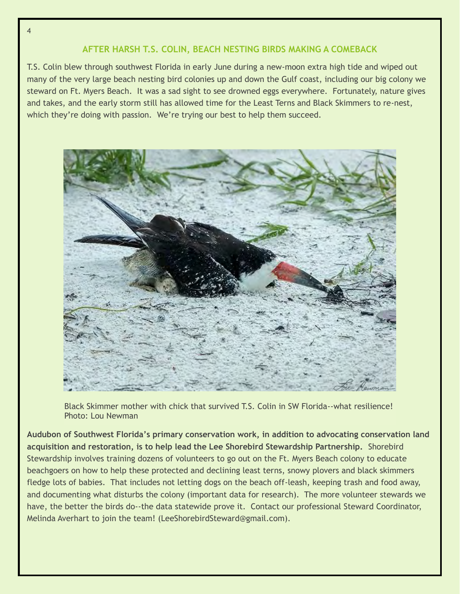#### **AFTER HARSH T.S. COLIN, BEACH NESTING BIRDS MAKING A COMEBACK**

T.S. Colin blew through southwest Florida in early June during a new-moon extra high tide and wiped out many of the very large beach nesting bird colonies up and down the Gulf coast, including our big colony we steward on Ft. Myers Beach. It was a sad sight to see drowned eggs everywhere. Fortunately, nature gives and takes, and the early storm still has allowed time for the Least Terns and Black Skimmers to re-nest, which they're doing with passion. We're trying our best to help them succeed.



Black Skimmer mother with chick that survived T.S. Colin in SW Florida--what resilience! Photo: Lou Newman

**Audubon of Southwest Florida's primary conservation work, in addition to advocating conservation land acquisition and restoration, is to help lead the Lee Shorebird Stewardship Partnership.** Shorebird Stewardship involves training dozens of volunteers to go out on the Ft. Myers Beach colony to educate beachgoers on how to help these protected and declining least terns, snowy plovers and black skimmers fledge lots of babies. That includes not letting dogs on the beach off-leash, keeping trash and food away, and documenting what disturbs the colony (important data for research). The more volunteer stewards we have, the better the birds do--the data statewide prove it. Contact our professional Steward Coordinator, Melinda Averhart to join the team! (LeeShorebirdSteward@gmail.com).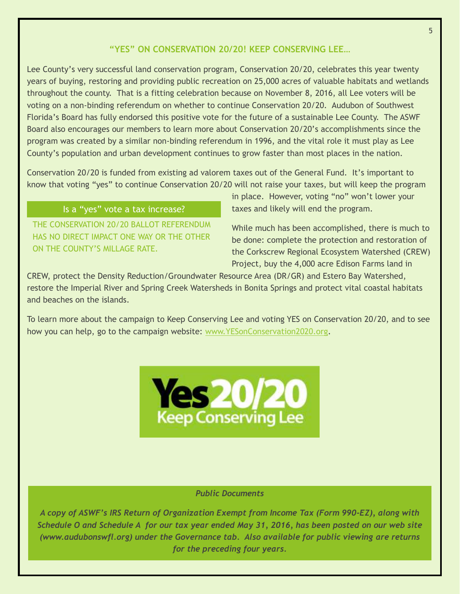#### **"YES" ON CONSERVATION 20/20! KEEP CONSERVING LEE…**

Lee County's very successful land conservation program, Conservation 20/20, celebrates this year twenty years of buying, restoring and providing public recreation on 25,000 acres of valuable habitats and wetlands throughout the county. That is a fitting celebration because on November 8, 2016, all Lee voters will be voting on a non-binding referendum on whether to continue Conservation 20/20. Audubon of Southwest Florida's Board has fully endorsed this positive vote for the future of a sustainable Lee County. The ASWF Board also encourages our members to learn more about Conservation 20/20's accomplishments since the program was created by a similar non-binding referendum in 1996, and the vital role it must play as Lee County's population and urban development continues to grow faster than most places in the nation.

Conservation 20/20 is funded from existing ad valorem taxes out of the General Fund. It's important to know that voting "yes" to continue Conservation 20/20 will not raise your taxes, but will keep the program

#### Is a "yes" vote a tax increase?

THE CONSERVATION 20/20 BALLOT REFERENDUM HAS NO DIRECT IMPACT ONE WAY OR THE OTHER ON THE COUNTY'S MILLAGE RATE.

in place. However, voting "no" won't lower your taxes and likely will end the program.

While much has been accomplished, there is much to be done: complete the protection and restoration of the Corkscrew Regional Ecosystem Watershed (CREW) Project, buy the 4,000 acre Edison Farms land in

CREW, protect the Density Reduction/Groundwater Resource Area (DR/GR) and Estero Bay Watershed, restore the Imperial River and Spring Creek Watersheds in Bonita Springs and protect vital coastal habitats and beaches on the islands.

To learn more about the campaign to Keep Conserving Lee and voting YES on Conservation 20/20, and to see how you can help, go to the campaign website: [www.YESonConservation2020.org.](http://www.yesonconservation2020.org/)



#### *Public Documents*

*A copy of ASWF's IRS Return of Organization Exempt from Income Tax (Form 990-EZ), along with Schedule O and Schedule A for our tax year ended May 31, 2016, has been posted on our web site (www.audubonswfl.org) under the Governance tab. Also available for public viewing are returns for the preceding four years.*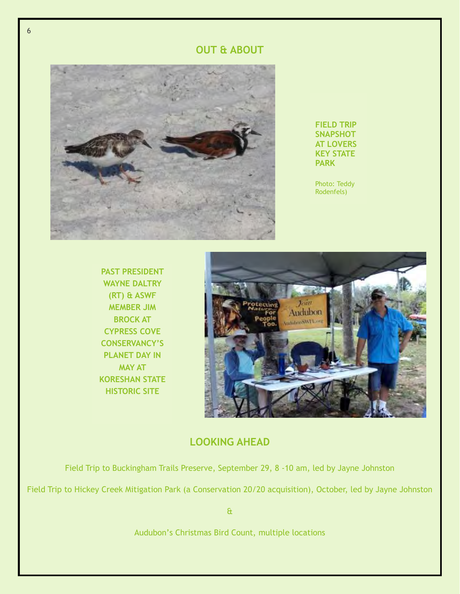#### **OUT & ABOUT**



**FIELD TRIP SNAPSHOT AT LOVERS KEY STATE PARK**

Photo: Teddy Rodenfels)

**PAST PRESIDENT WAYNE DALTRY (RT) & ASWF MEMBER JIM BROCK AT CYPRESS COVE CONSERVANCY'S PLANET DAY IN MAY AT KORESHAN STATE HISTORIC SITE**



#### **LOOKING AHEAD**

Field Trip to Buckingham Trails Preserve, September 29, 8 -10 am, led by Jayne Johnston

Field Trip to Hickey Creek Mitigation Park (a Conservation 20/20 acquisition), October, led by Jayne Johnston

&

Audubon's Christmas Bird Count, multiple locations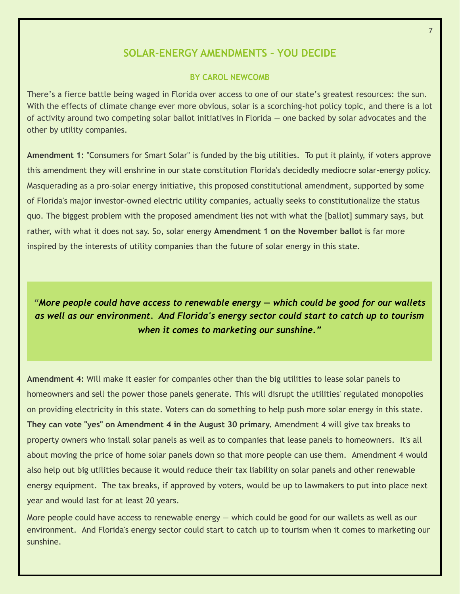#### **SOLAR-ENERGY AMENDMENTS – YOU DECIDE**

#### **BY CAROL NEWCOMB**

There's a fierce battle being waged in Florida over access to one of our state's greatest resources: the sun. With the effects of climate change ever more obvious, solar is a scorching-hot policy topic, and there is a lot of activity around two competing solar ballot initiatives in Florida — one backed by solar advocates and the other by utility companies.

**Amendment 1:** "Consumers for Smart Solar" is funded by the big utilities. To put it plainly, if voters approve this amendment they will enshrine in our state constitution Florida's decidedly mediocre solar-energy policy. Masquerading as a pro-solar energy initiative, this proposed constitutional amendment, supported by some of Florida's major investor-owned electric utility companies, actually seeks to constitutionalize the status quo. The biggest problem with the proposed amendment lies not with what the [ballot] summary says, but rather, with what it does not say. So, solar energy **Amendment 1 on the November ballot** is far more inspired by the interests of utility companies than the future of solar energy in this state.

*"More people could have access to renewable energy — which could be good for our wallets as well as our environment. And Florida's energy sector could start to catch up to tourism when it comes to marketing our sunshine."*

**Amendment 4:** Will make it easier for companies other than the big utilities to lease solar panels to homeowners and sell the power those panels generate. This will disrupt the utilities' regulated monopolies on providing electricity in this state. Voters can do something to help push more solar energy in this state. **They can vote "yes" on Amendment 4 in the August 30 primary.** Amendment 4 will give tax breaks to property owners who install solar panels as well as to companies that lease panels to homeowners. It's all about moving the price of home solar panels down so that more people can use them. Amendment 4 would also help out big utilities because it would reduce their tax liability on solar panels and other renewable energy equipment. The tax breaks, if approved by voters, would be up to lawmakers to put into place next year and would last for at least 20 years.

More people could have access to renewable energy — which could be good for our wallets as well as our environment. And Florida's energy sector could start to catch up to tourism when it comes to marketing our sunshine.